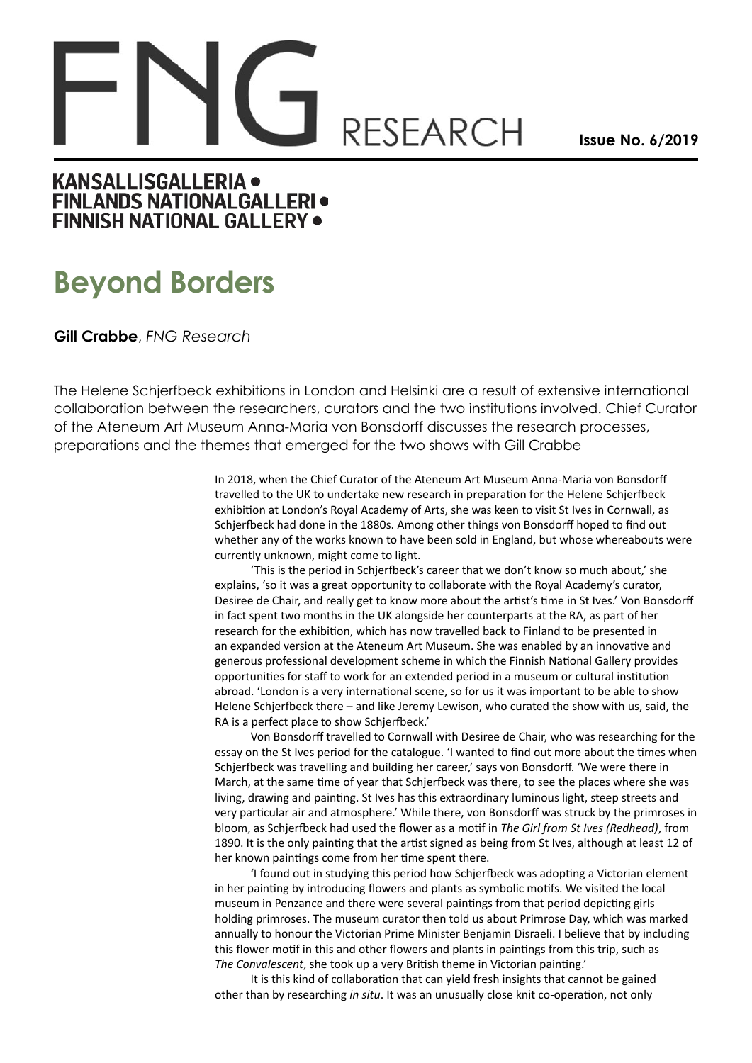## **RESEARCH**

**Issue No. 6/2019**

## **KANSALLISGALLERIA · FINLANDS NATIONALGALLERI · FINNISH NATIONAL GALLERY .**

## **Beyond Borders**

**Gill Crabbe**, *FNG Research*

The Helene Schjerfbeck exhibitions in London and Helsinki are a result of extensive international collaboration between the researchers, curators and the two institutions involved. Chief Curator of the Ateneum Art Museum Anna-Maria von Bonsdorff discusses the research processes, preparations and the themes that emerged for the two shows with Gill Crabbe

> In 2018, when the Chief Curator of the Ateneum Art Museum Anna-Maria von Bonsdorff travelled to the UK to undertake new research in preparation for the Helene Schjerfbeck exhibition at London's Royal Academy of Arts, she was keen to visit St Ives in Cornwall, as Schjerfbeck had done in the 1880s. Among other things von Bonsdorff hoped to find out whether any of the works known to have been sold in England, but whose whereabouts were currently unknown, might come to light.

> 'This is the period in Schjerfbeck's career that we don't know so much about,' she explains, 'so it was a great opportunity to collaborate with the Royal Academy's curator, Desiree de Chair, and really get to know more about the artist's time in St Ives.' Von Bonsdorff in fact spent two months in the UK alongside her counterparts at the RA, as part of her research for the exhibition, which has now travelled back to Finland to be presented in an expanded version at the Ateneum Art Museum. She was enabled by an innovative and generous professional development scheme in which the Finnish National Gallery provides opportunities for staff to work for an extended period in a museum or cultural institution abroad. 'London is a very international scene, so for us it was important to be able to show Helene Schjerfbeck there – and like Jeremy Lewison, who curated the show with us, said, the RA is a perfect place to show Schjerfbeck.'

Von Bonsdorff travelled to Cornwall with Desiree de Chair, who was researching for the essay on the St Ives period for the catalogue. 'I wanted to find out more about the times when Schjerfbeck was travelling and building her career,' says von Bonsdorff. 'We were there in March, at the same time of year that Schjerfbeck was there, to see the places where she was living, drawing and painting. St Ives has this extraordinary luminous light, steep streets and very particular air and atmosphere.' While there, von Bonsdorff was struck by the primroses in bloom, as Schjerfbeck had used the flower as a motif in *The Girl from St Ives (Redhead)*, from 1890. It is the only painting that the artist signed as being from St Ives, although at least 12 of her known paintings come from her time spent there.

'I found out in studying this period how Schjerfbeck was adopting a Victorian element in her painting by introducing flowers and plants as symbolic motifs. We visited the local museum in Penzance and there were several paintings from that period depicting girls holding primroses. The museum curator then told us about Primrose Day, which was marked annually to honour the Victorian Prime Minister Benjamin Disraeli. I believe that by including this flower motif in this and other flowers and plants in paintings from this trip, such as *The Convalescent*, she took up a very British theme in Victorian painting.'

It is this kind of collaboration that can yield fresh insights that cannot be gained other than by researching *in situ*. It was an unusually close knit co-operation, not only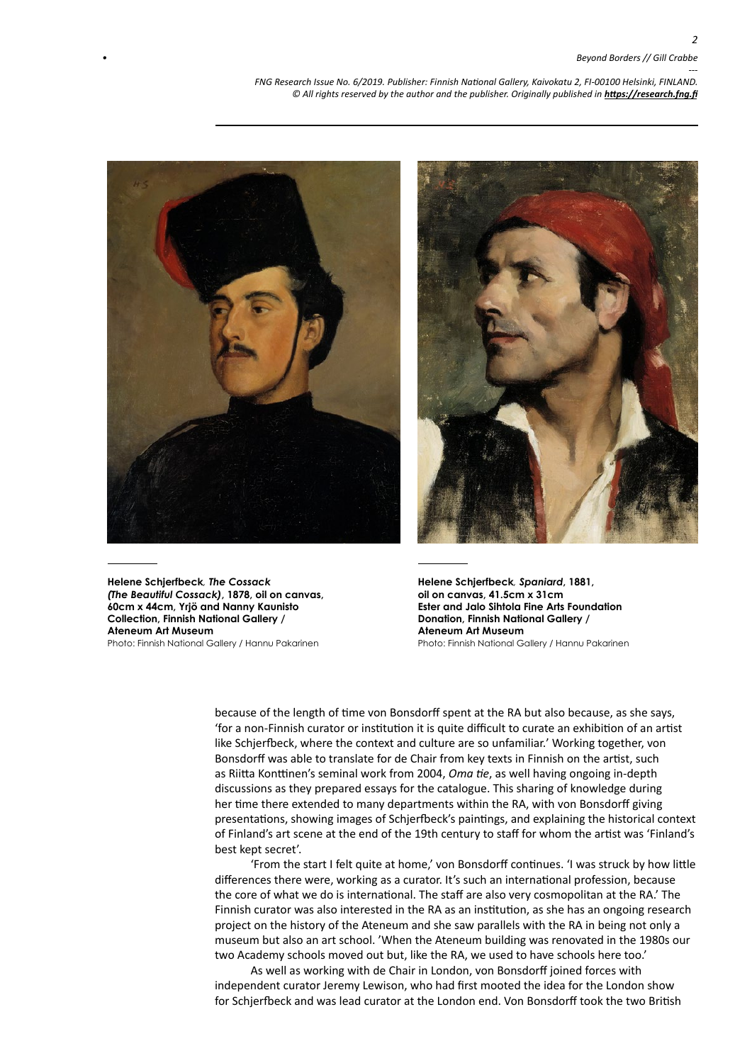*--- FNG Research Issue No. 6/2019. Publisher: Finnish National Gallery, Kaivokatu 2, FI-00100 Helsinki, FINLAND.* © All rights reserved by the author and the publisher. Originally published in **<https://research.fng.fi>** 



**Helene Schjerfbeck***, The Cossack (The Beautiful Cossack)***, 1878, oil on canvas, 60cm x 44cm, Yrjö and Nanny Kaunisto Collection, Finnish National Gallery / Ateneum Art Museum** Photo: Finnish National Gallery / Hannu Pakarinen



**Helene Schjerfbeck***, Spaniard***, 1881, oil on canvas, 41.5cm x 31cm Ester and Jalo Sihtola Fine Arts Foundation Donation, Finnish National Gallery / Ateneum Art Museum** Photo: Finnish National Gallery / Hannu Pakarinen

because of the length of time von Bonsdorff spent at the RA but also because, as she says, 'for a non-Finnish curator or institution it is quite difficult to curate an exhibition of an artist like Schjerfbeck, where the context and culture are so unfamiliar.' Working together, von Bonsdorff was able to translate for de Chair from key texts in Finnish on the artist, such as Riitta Konttinen's seminal work from 2004, *Oma tie*, as well having ongoing in-depth discussions as they prepared essays for the catalogue. This sharing of knowledge during her time there extended to many departments within the RA, with von Bonsdorff giving presentations, showing images of Schjerfbeck's paintings, and explaining the historical context of Finland's art scene at the end of the 19th century to staff for whom the artist was 'Finland's best kept secret'.

'From the start I felt quite at home,' von Bonsdorff continues. 'I was struck by how little differences there were, working as a curator. It's such an international profession, because the core of what we do is international. The staff are also very cosmopolitan at the RA.' The Finnish curator was also interested in the RA as an institution, as she has an ongoing research project on the history of the Ateneum and she saw parallels with the RA in being not only a museum but also an art school. 'When the Ateneum building was renovated in the 1980s our two Academy schools moved out but, like the RA, we used to have schools here too.'

As well as working with de Chair in London, von Bonsdorff joined forces with independent curator Jeremy Lewison, who had first mooted the idea for the London show for Schjerfbeck and was lead curator at the London end. Von Bonsdorff took the two British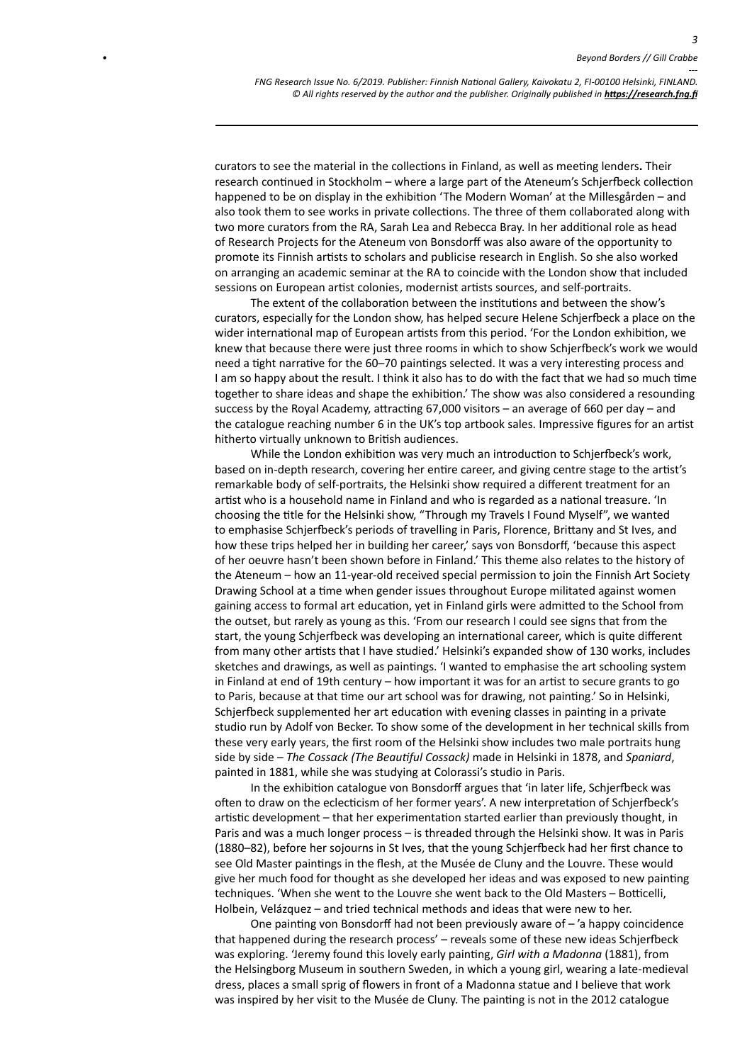*3*

curators to see the material in the collections in Finland, as well as meeting lenders**.** Their research continued in Stockholm – where a large part of the Ateneum's Schjerfbeck collection happened to be on display in the exhibition 'The Modern Woman' at the Millesgården – and also took them to see works in private collections. The three of them collaborated along with two more curators from the RA, Sarah Lea and Rebecca Bray. In her additional role as head of Research Projects for the Ateneum von Bonsdorff was also aware of the opportunity to promote its Finnish artists to scholars and publicise research in English. So she also worked on arranging an academic seminar at the RA to coincide with the London show that included sessions on European artist colonies, modernist artists sources, and self-portraits.

The extent of the collaboration between the institutions and between the show's curators, especially for the London show, has helped secure Helene Schjerfbeck a place on the wider international map of European artists from this period. 'For the London exhibition, we knew that because there were just three rooms in which to show Schjerfbeck's work we would need a tight narrative for the 60–70 paintings selected. It was a very interesting process and I am so happy about the result. I think it also has to do with the fact that we had so much time together to share ideas and shape the exhibition.' The show was also considered a resounding success by the Royal Academy, attracting 67,000 visitors – an average of 660 per day – and the catalogue reaching number 6 in the UK's top artbook sales. Impressive figures for an artist hitherto virtually unknown to British audiences.

While the London exhibition was very much an introduction to Schjerfbeck's work, based on in-depth research, covering her entire career, and giving centre stage to the artist's remarkable body of self-portraits, the Helsinki show required a different treatment for an artist who is a household name in Finland and who is regarded as a national treasure. 'In choosing the title for the Helsinki show, "Through my Travels I Found Myself", we wanted to emphasise Schjerfbeck's periods of travelling in Paris, Florence, Brittany and St Ives, and how these trips helped her in building her career,' says von Bonsdorff, 'because this aspect of her oeuvre hasn't been shown before in Finland.' This theme also relates to the history of the Ateneum – how an 11-year-old received special permission to join the Finnish Art Society Drawing School at a time when gender issues throughout Europe militated against women gaining access to formal art education, yet in Finland girls were admitted to the School from the outset, but rarely as young as this. 'From our research I could see signs that from the start, the young Schjerfbeck was developing an international career, which is quite different from many other artists that I have studied.' Helsinki's expanded show of 130 works, includes sketches and drawings, as well as paintings. 'I wanted to emphasise the art schooling system in Finland at end of 19th century – how important it was for an artist to secure grants to go to Paris, because at that time our art school was for drawing, not painting.' So in Helsinki, Schjerfbeck supplemented her art education with evening classes in painting in a private studio run by Adolf von Becker. To show some of the development in her technical skills from these very early years, the first room of the Helsinki show includes two male portraits hung side by side – *The Cossack (The Beautiful Cossack)* made in Helsinki in 1878, and *Spaniard*, painted in 1881, while she was studying at Colorassi's studio in Paris.

In the exhibition catalogue von Bonsdorff argues that 'in later life, Schjerfbeck was often to draw on the eclecticism of her former years'. A new interpretation of Schjerfbeck's artistic development – that her experimentation started earlier than previously thought, in Paris and was a much longer process – is threaded through the Helsinki show. It was in Paris (1880–82), before her sojourns in St Ives, that the young Schjerfbeck had her first chance to see Old Master paintings in the flesh, at the Musée de Cluny and the Louvre. These would give her much food for thought as she developed her ideas and was exposed to new painting techniques. 'When she went to the Louvre she went back to the Old Masters – Botticelli, Holbein, Velázquez – and tried technical methods and ideas that were new to her.

One painting von Bonsdorff had not been previously aware of – 'a happy coincidence that happened during the research process' – reveals some of these new ideas Schjerfbeck was exploring. 'Jeremy found this lovely early painting, *Girl with a Madonna* (1881), from the Helsingborg Museum in southern Sweden, in which a young girl, wearing a late-medieval dress, places a small sprig of flowers in front of a Madonna statue and I believe that work was inspired by her visit to the Musée de Cluny. The painting is not in the 2012 catalogue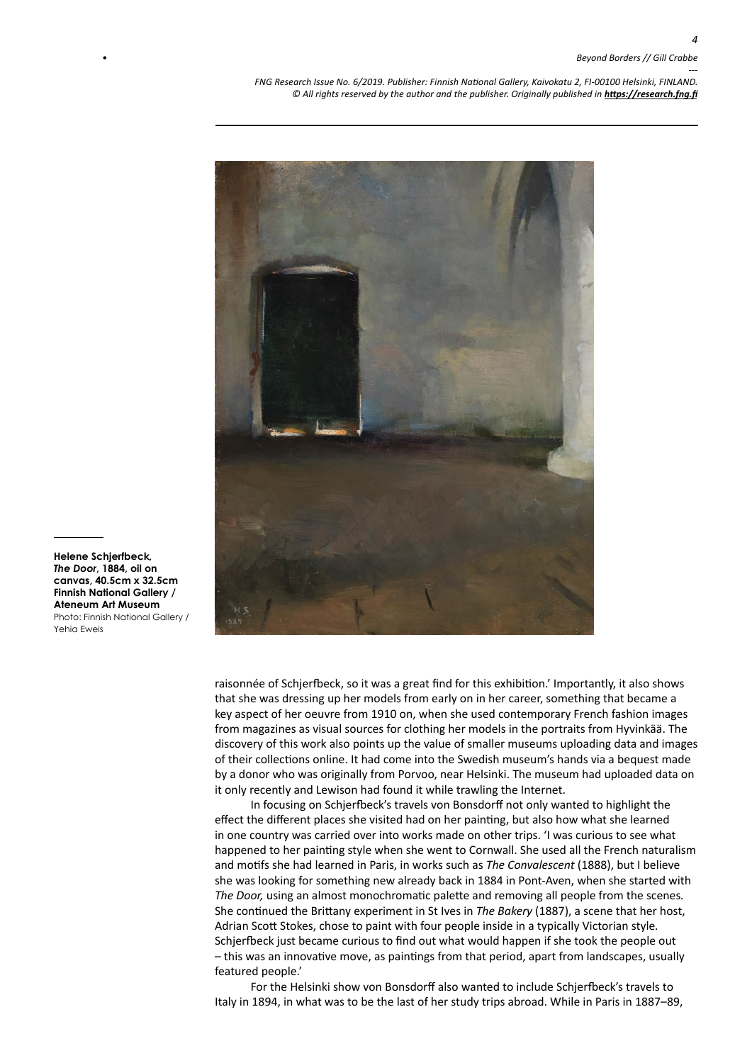*--- FNG Research Issue No. 6/2019. Publisher: Finnish National Gallery, Kaivokatu 2, FI-00100 Helsinki, FINLAND.* © All rights reserved by the author and the publisher. Originally published in **<https://research.fng.fi>** 



raisonnée of Schjerfbeck, so it was a great find for this exhibition.' Importantly, it also shows that she was dressing up her models from early on in her career, something that became a key aspect of her oeuvre from 1910 on, when she used contemporary French fashion images from magazines as visual sources for clothing her models in the portraits from Hyvinkää. The discovery of this work also points up the value of smaller museums uploading data and images of their collections online. It had come into the Swedish museum's hands via a bequest made by a donor who was originally from Porvoo, near Helsinki. The museum had uploaded data on it only recently and Lewison had found it while trawling the Internet.

In focusing on Schjerfbeck's travels von Bonsdorff not only wanted to highlight the effect the different places she visited had on her painting, but also how what she learned in one country was carried over into works made on other trips. 'I was curious to see what happened to her painting style when she went to Cornwall. She used all the French naturalism and motifs she had learned in Paris, in works such as *The Convalescent* (1888), but I believe she was looking for something new already back in 1884 in Pont-Aven, when she started with *The Door,* using an almost monochromatic palette and removing all people from the scenes*.*  She continued the Brittany experiment in St Ives in *The Bakery* (1887), a scene that her host, Adrian Scott Stokes, chose to paint with four people inside in a typically Victorian style*.*  Schjerfbeck just became curious to find out what would happen if she took the people out – this was an innovative move, as paintings from that period, apart from landscapes, usually featured people.'

For the Helsinki show von Bonsdorff also wanted to include Schjerfbeck's travels to Italy in 1894, in what was to be the last of her study trips abroad. While in Paris in 1887–89,

**Helene Schjerfbeck***, The Door***, 1884, oil on canvas, 40.5cm x 32.5cm Finnish National Gallery / Ateneum Art Museum** Photo: Finnish National Gallery / Yehia Eweis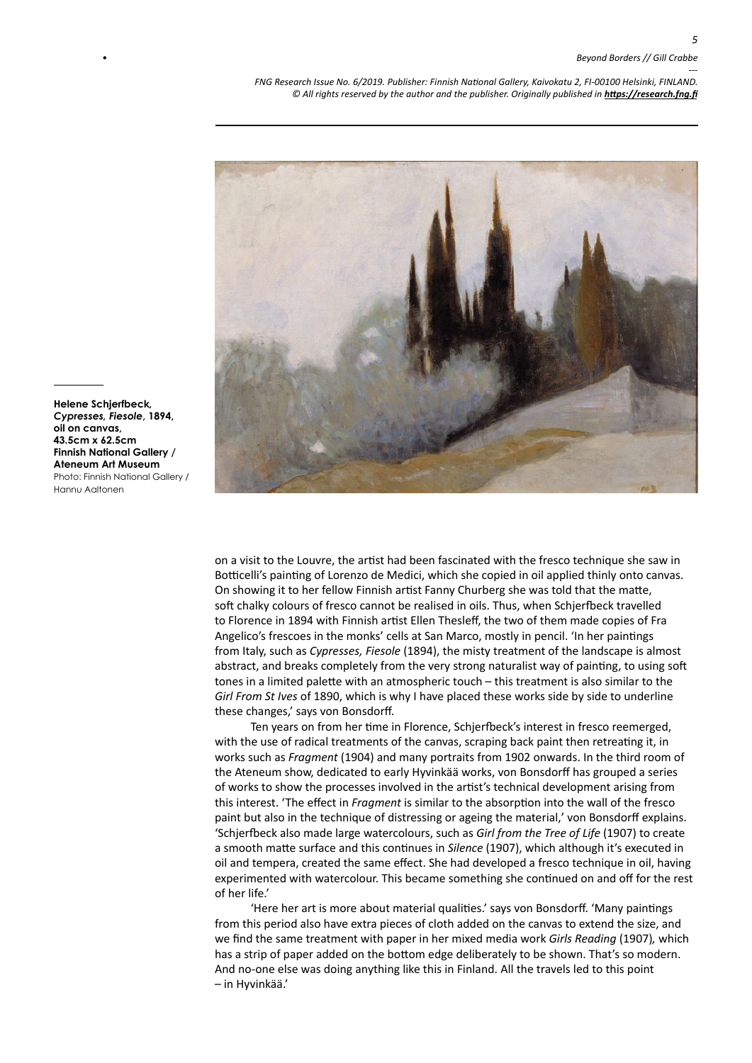*5*

*--- FNG Research Issue No. 6/2019. Publisher: Finnish National Gallery, Kaivokatu 2, FI-00100 Helsinki, FINLAND.* © All rights reserved by the author and the publisher. Originally published in **<https://research.fng.fi>** 



**Helene Schjerfbeck***, Cypresses, Fiesole***, 1894, oil on canvas, 43.5cm x 62.5cm Finnish National Gallery / Ateneum Art Museum** Photo: Finnish National Gallery / Hannu Aaltonen

> on a visit to the Louvre, the artist had been fascinated with the fresco technique she saw in Botticelli's painting of Lorenzo de Medici, which she copied in oil applied thinly onto canvas. On showing it to her fellow Finnish artist Fanny Churberg she was told that the matte, soft chalky colours of fresco cannot be realised in oils. Thus, when Schjerfbeck travelled to Florence in 1894 with Finnish artist Ellen Thesleff, the two of them made copies of Fra Angelico's frescoes in the monks' cells at San Marco, mostly in pencil. 'In her paintings from Italy, such as *Cypresses, Fiesole* (1894), the misty treatment of the landscape is almost abstract, and breaks completely from the very strong naturalist way of painting, to using soft tones in a limited palette with an atmospheric touch – this treatment is also similar to the *Girl From St Ives* of 1890, which is why I have placed these works side by side to underline these changes,' says von Bonsdorff.

> Ten years on from her time in Florence, Schjerfbeck's interest in fresco reemerged, with the use of radical treatments of the canvas, scraping back paint then retreating it, in works such as *Fragment* (1904) and many portraits from 1902 onwards. In the third room of the Ateneum show, dedicated to early Hyvinkää works, von Bonsdorff has grouped a series of works to show the processes involved in the artist's technical development arising from this interest. 'The effect in *Fragment* is similar to the absorption into the wall of the fresco paint but also in the technique of distressing or ageing the material,' von Bonsdorff explains. 'Schjerfbeck also made large watercolours, such as *Girl from the Tree of Life* (1907) to create a smooth matte surface and this continues in *Silence* (1907), which although it's executed in oil and tempera, created the same effect. She had developed a fresco technique in oil, having experimented with watercolour. This became something she continued on and off for the rest of her life.'

> 'Here her art is more about material qualities.' says von Bonsdorff. 'Many paintings from this period also have extra pieces of cloth added on the canvas to extend the size, and we find the same treatment with paper in her mixed media work *Girls Reading* (1907)*,* which has a strip of paper added on the bottom edge deliberately to be shown. That's so modern. And no-one else was doing anything like this in Finland. All the travels led to this point – in Hyvinkää.'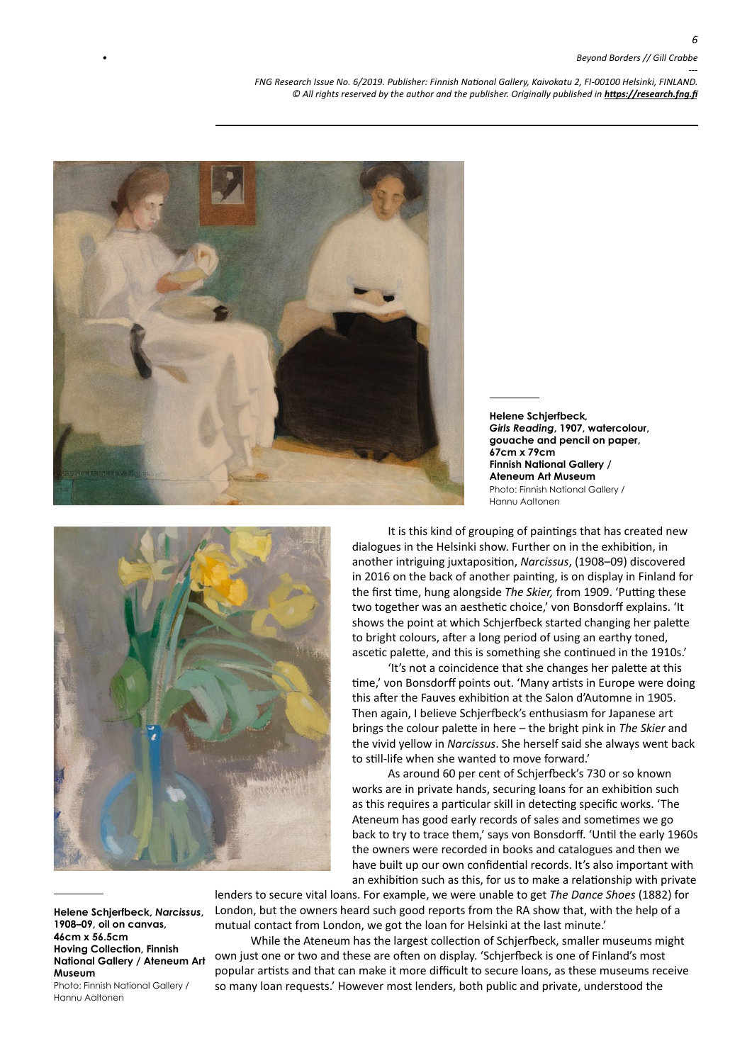## *• Beyond Borders // Gill Crabbe*

*--- FNG Research Issue No. 6/2019. Publisher: Finnish National Gallery, Kaivokatu 2, FI-00100 Helsinki, FINLAND.* © All rights reserved by the author and the publisher. Originally published in **<https://research.fng.fi>** 



**Helene Schjerfbeck***, Girls Reading***, 1907, watercolour, gouache and pencil on paper, 67cm x 79cm Finnish National Gallery / Ateneum Art Museum** Photo: Finnish National Gallery / Hannu Aaltonen



It is this kind of grouping of paintings that has created new dialogues in the Helsinki show. Further on in the exhibition, in another intriguing juxtaposition, *Narcissus*, (1908–09) discovered in 2016 on the back of another painting, is on display in Finland for the first time, hung alongside *The Skier,* from 1909. 'Putting these two together was an aesthetic choice,' von Bonsdorff explains. 'It shows the point at which Schjerfbeck started changing her palette to bright colours, after a long period of using an earthy toned, ascetic palette, and this is something she continued in the 1910s.'

'It's not a coincidence that she changes her palette at this time,' von Bonsdorff points out. 'Many artists in Europe were doing this after the Fauves exhibition at the Salon d'Automne in 1905. Then again, I believe Schjerfbeck's enthusiasm for Japanese art brings the colour palette in here – the bright pink in *The Skier* and the vivid yellow in *Narcissus*. She herself said she always went back to still-life when she wanted to move forward.'

As around 60 per cent of Schjerfbeck's 730 or so known works are in private hands, securing loans for an exhibition such as this requires a particular skill in detecting specific works. 'The Ateneum has good early records of sales and sometimes we go back to try to trace them,' says von Bonsdorff. 'Until the early 1960s the owners were recorded in books and catalogues and then we have built up our own confidential records. It's also important with an exhibition such as this, for us to make a relationship with private

**Helene Schjerfbeck,** *Narcissus***, 1908–09, oil on canvas, 46cm x 56.5cm Hoving Collection, Finnish National Gallery / Ateneum Art Museum**  Photo: Finnish National Gallery / Hannu Aaltonen

lenders to secure vital loans. For example, we were unable to get *The Dance Shoes* (1882) for London, but the owners heard such good reports from the RA show that, with the help of a mutual contact from London, we got the loan for Helsinki at the last minute.'

While the Ateneum has the largest collection of Schjerfbeck, smaller museums might own just one or two and these are often on display. 'Schjerfbeck is one of Finland's most popular artists and that can make it more difficult to secure loans, as these museums receive so many loan requests.' However most lenders, both public and private, understood the